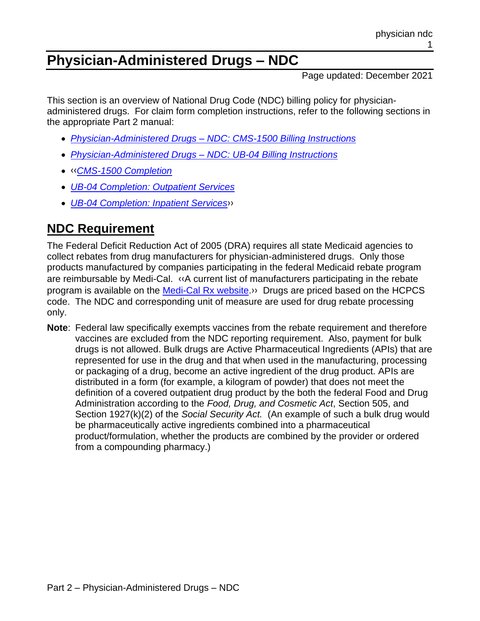# **Physician-Administered Drugs – NDC**

Page updated: December 2021

This section is an overview of National Drug Code (NDC) billing policy for physicianadministered drugs. For claim form completion instructions, refer to the following sections in the appropriate Part 2 manual:

- *Physician-Administered Drugs – [NDC: CMS-1500 Billing Instructions](https://files.medi-cal.ca.gov/pubsdoco/publications/masters-mtp/part2/physicianndccms.pdf)*
- *[Physician-Administered Drugs –](https://files.medi-cal.ca.gov/pubsdoco/publications/masters-mtp/part2/physicianndcub.pdf) NDC: UB-04 Billing Instructions*
- [‹‹](#page-3-0)*[CMS-1500 Completion](https://files.medi-cal.ca.gov/pubsdoco/publications/masters-mtp/part2/cmscomp.pdf)*
- *[UB-04 Completion: Outpatient Services](https://files.medi-cal.ca.gov/pubsdoco/publications/masters-mtp/part2/ubcompop.pdf)*
- *[UB-04 Completion: Inpatient Services](https://files.medi-cal.ca.gov/pubsdoco/publications/masters-mtp/part2/ubcompip.pdf)*[››](#page-3-1)

## **NDC Requirement**

The Federal Deficit Reduction Act of 2005 (DRA) requires all state Medicaid agencies to collect rebates from drug manufacturers for physician-administered drugs. Only those products manufactured by companies participating in the federal Medicaid rebate program are reimbursable by Medi-Cal. [‹‹A](#page-3-0) current list of manufacturers participating in the rebate program is available on the [Medi-Cal Rx website.](https://medi-calrx.dhcs.ca.gov/home/)[››](#page-3-1) Drugs are priced based on the HCPCS code. The NDC and corresponding unit of measure are used for drug rebate processing only.

**Note**: Federal law specifically exempts vaccines from the rebate requirement and therefore vaccines are excluded from the NDC reporting requirement. Also, payment for bulk drugs is not allowed. Bulk drugs are Active Pharmaceutical Ingredients (APIs) that are represented for use in the drug and that when used in the manufacturing, processing or packaging of a drug, become an active ingredient of the drug product. APIs are distributed in a form (for example, a kilogram of powder) that does not meet the definition of a covered outpatient drug product by the both the federal Food and Drug Administration according to the *Food, Drug, and Cosmetic Act*, Section 505, and Section 1927(k)(2) of the *Social Security Act.* (An example of such a bulk drug would be pharmaceutically active ingredients combined into a pharmaceutical product/formulation, whether the products are combined by the provider or ordered from a compounding pharmacy.)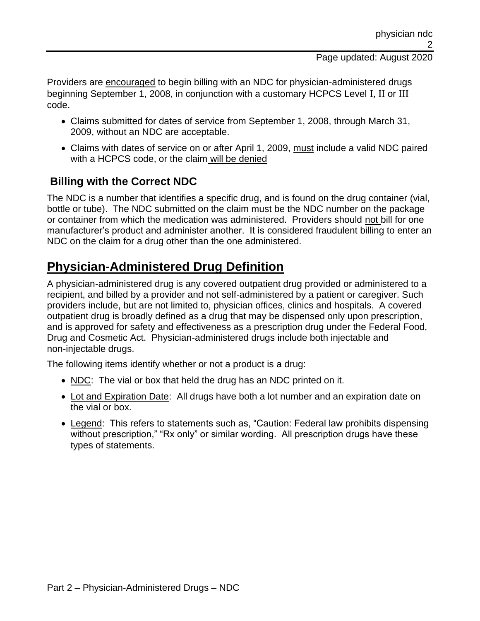#### Page updated: August 2020

Providers are encouraged to begin billing with an NDC for physician-administered drugs beginning September 1, 2008, in conjunction with a customary HCPCS Level I, II or III code.

- Claims submitted for dates of service from September 1, 2008, through March 31, 2009, without an NDC are acceptable.
- Claims with dates of service on or after April 1, 2009, must include a valid NDC paired with a HCPCS code, or the claim will be denied

### **Billing with the Correct NDC**

The NDC is a number that identifies a specific drug, and is found on the drug container (vial, bottle or tube). The NDC submitted on the claim must be the NDC number on the package or container from which the medication was administered. Providers should not bill for one manufacturer's product and administer another. It is considered fraudulent billing to enter an NDC on the claim for a drug other than the one administered.

### **Physician-Administered Drug Definition**

A physician-administered drug is any covered outpatient drug provided or administered to a recipient, and billed by a provider and not self-administered by a patient or caregiver. Such providers include, but are not limited to, physician offices, clinics and hospitals. A covered outpatient drug is broadly defined as a drug that may be dispensed only upon prescription, and is approved for safety and effectiveness as a prescription drug under the Federal Food, Drug and Cosmetic Act. Physician-administered drugs include both injectable and non-injectable drugs.

The following items identify whether or not a product is a drug:

- NDC: The vial or box that held the drug has an NDC printed on it.
- Lot and Expiration Date: All drugs have both a lot number and an expiration date on the vial or box.
- Legend: This refers to statements such as, "Caution: Federal law prohibits dispensing without prescription," "Rx only" or similar wording. All prescription drugs have these types of statements.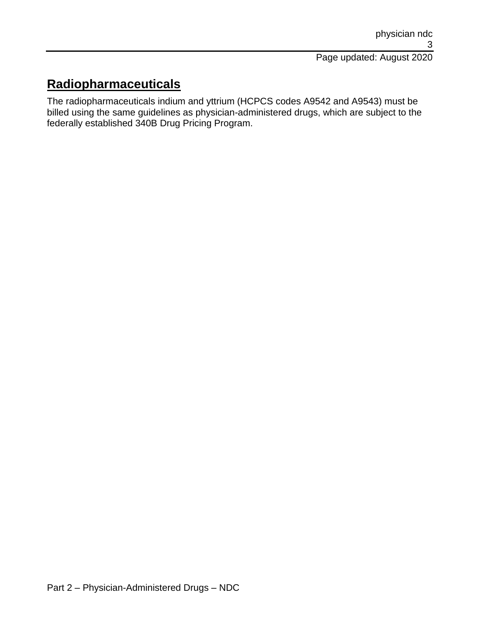## **Radiopharmaceuticals**

The radiopharmaceuticals indium and yttrium (HCPCS codes A9542 and A9543) must be billed using the same guidelines as physician-administered drugs, which are subject to the federally established 340B Drug Pricing Program.